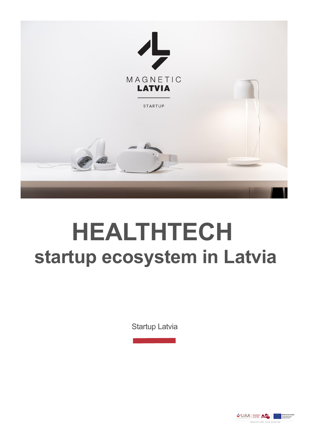

# **HEALTHTECH startup ecosystem in Latvia**

Startup Latvia

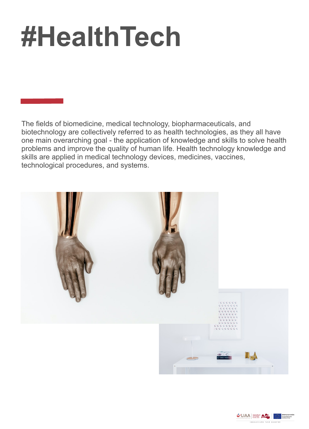# **#HealthTech**

The fields of biomedicine, medical technology, biopharmaceuticals, and biotechnology are collectively referred to as health technologies, as they all have one main overarching goal - the application of knowledge and skills to solve health problems and improve the quality of human life. Health technology knowledge and skills are applied in medical technology devices, medicines, vaccines, technological procedures, and systems.



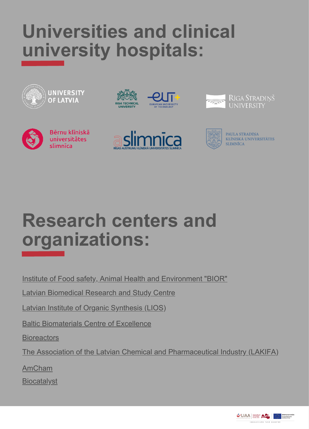#### **Universities and clinical university hospitals:**



#### **Research centers and organizations:**

[Institute of Food safety, Animal Health and Environment "BIOR"](https://bior.lv/en)

**[Latvian Biomedical Research and Study Centre](https://biomed.lu.lv/home/)** 

[Latvian Institute of Organic Synthesis \(LIOS\)](https://www.osi.lv/en/about-ios/)

[Baltic Biomaterials Centre of Excellence](https://www.facebook.com/bbcentre.eu/)

**[Bioreactors](https://www.bioreactors.net/who-are-we)** 

[The Association of the Latvian Chemical and Pharmaceutical Industry \(LAKIFA\)](https://www.lifescience.lv/en/about-us/)

[AmCham](https://www.amcham.lv/en/about-us/story)

**[Biocatalyst](https://biocatalyst.eu/)** 

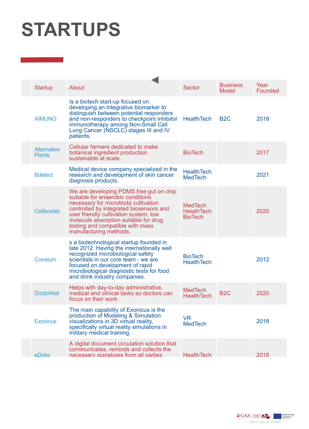## **STARTUPS**

| <b>Startup</b>                      | About                                                                                                                                                                                                                                                                                                           | <b>Sector</b>                                         | <b>Business</b><br>Model | Year<br>Founded |
|-------------------------------------|-----------------------------------------------------------------------------------------------------------------------------------------------------------------------------------------------------------------------------------------------------------------------------------------------------------------|-------------------------------------------------------|--------------------------|-----------------|
| <b>AIMUNO</b>                       | Is a biotech start-up focused on<br>developing an integrative biomarker to<br>distinguish between potential responders<br>and non-responders to checkpoint inhibitor<br>immunotherapy among Non-Small Cell<br>Lung Cancer (NSCLC) stages III and IV<br>patients.                                                | <b>HealthTech</b>                                     | B <sub>2</sub> C         | 2018            |
| <b>Alternative</b><br><b>Plants</b> | Cellular farmers dedicated to make<br>botanical ingredient production<br>sustainable at scale.                                                                                                                                                                                                                  | <b>BioTech</b>                                        |                          | 2017            |
| <b>B</b> detect                     | Medical device company specialized in the<br>research and development of skin cancer<br>diagnosis products.                                                                                                                                                                                                     | <b>HealthTech</b><br><b>MedTech</b>                   |                          | 2021            |
| Cellboxlab                          | We are developing PDMS free gut on chip<br>suitable for anaerobic conditions<br>necessary for microbiota cultivation<br>controlled by integrated biosensors and<br>user friendly cultivation system, low<br>molecule absorption suitable for drug<br>testing and compatible with mass<br>manufacturing methods. | <b>MedTech</b><br><b>HelathTech</b><br><b>BioTech</b> |                          | 2020            |
| Conelum                             | s a biotechnological startup founded in<br>late 2012. Having the internationally well<br>recognized microbiological safety<br>scientists in our core team - we are<br>focused on development of rapid<br>microbiological diagnostic tests for food<br>and drink industry companies.                             | <b>BioTech</b><br><b>HealthTech</b>                   |                          | 2012            |
| <b>DoctoWell</b>                    | Helps with day-to-day administrative,<br>medical and clinical tasks so doctors can<br>focus on their work.                                                                                                                                                                                                      | <b>MedTech</b><br><b>HealthTech</b>                   | B <sub>2</sub> C         | 2020            |
| <b>Exonicus</b>                     | The main capability of Exonicus is the<br>production of Modeling & Simulation<br>visualizations in 3D virtual reality,<br>specifically virtual reality simulations in<br>military medical training.                                                                                                             | <b>VR</b><br><b>MedTech</b>                           |                          | 2018            |
| eDoks                               | A digital document circulation solution that<br>communicates, reminds and collects the<br>necessary signatures from all parties                                                                                                                                                                                 | <b>HealthTech</b>                                     |                          | 2018            |